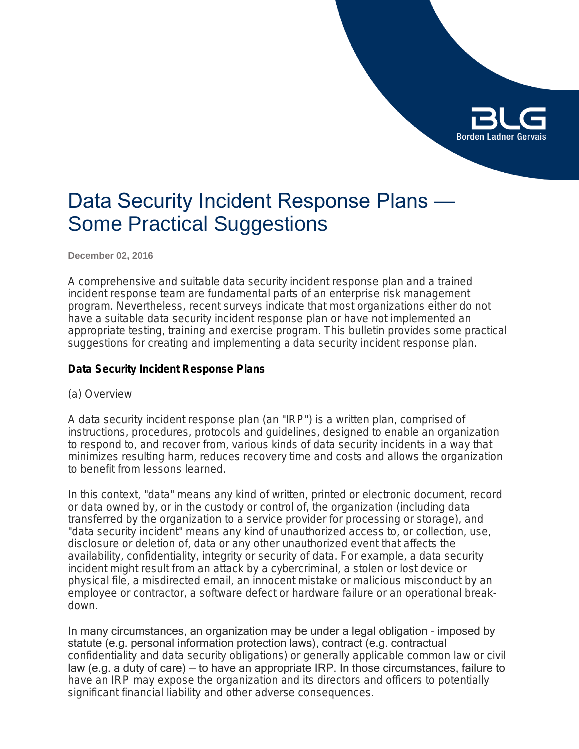

# Data Security Incident Response Plans — Some Practical Suggestions

**December 02, 2016**

A comprehensive and suitable data security incident response plan and a trained incident response team are fundamental parts of an enterprise risk management program. Nevertheless, recent surveys indicate that most organizations either do not have a suitable data security incident response plan or have not implemented an appropriate testing, training and exercise program. This bulletin provides some practical suggestions for creating and implementing a data security incident response plan.

# **Data Security Incident Response Plans**

(a) Overview

A data security incident response plan (an "IRP") is a written plan, comprised of instructions, procedures, protocols and guidelines, designed to enable an organization to respond to, and recover from, various kinds of data security incidents in a way that minimizes resulting harm, reduces recovery time and costs and allows the organization to benefit from lessons learned.

In this context, "data" means any kind of written, printed or electronic document, record or data owned by, or in the custody or control of, the organization (including data transferred by the organization to a service provider for processing or storage), and "data security incident" means any kind of unauthorized access to, or collection, use, disclosure or deletion of, data or any other unauthorized event that affects the availability, confidentiality, integrity or security of data. For example, a data security incident might result from an attack by a cybercriminal, a stolen or lost device or physical file, a misdirected email, an innocent mistake or malicious misconduct by an employee or contractor, a software defect or hardware failure or an operational breakdown.

In many circumstances, an organization may be under a legal obligation – imposed by statute (e.g. personal information protection laws), contract (e.g. contractual confidentiality and data security obligations) or generally applicable common law or civil law (e.g. a duty of care) — to have an appropriate IRP. In those circumstances, failure to have an IRP may expose the organization and its directors and officers to potentially significant financial liability and other adverse consequences.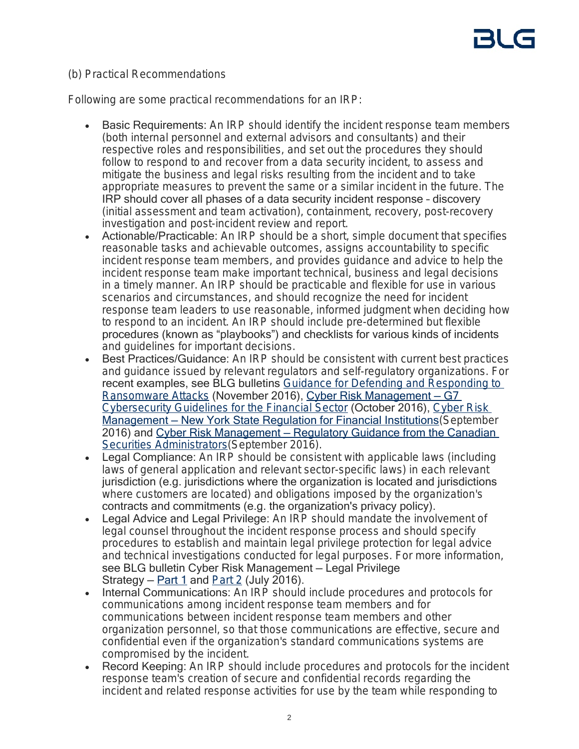# (b) Practical Recommendations

Following are some practical recommendations for an IRP:

- Basic Requirements: An IRP should identify the incident response team members (both internal personnel and external advisors and consultants) and their respective roles and responsibilities, and set out the procedures they should follow to respond to and recover from a data security incident, to assess and mitigate the business and legal risks resulting from the incident and to take appropriate measures to prevent the same or a similar incident in the future. The IRP should cover all phases of a data security incident response – discovery (initial assessment and team activation), containment, recovery, post-recovery investigation and post-incident review and report.
- Actionable/Practicable: An IRP should be a short, simple document that specifies reasonable tasks and achievable outcomes, assigns accountability to specific incident response team members, and provides guidance and advice to help the incident response team make important technical, business and legal decisions in a timely manner. An IRP should be practicable and flexible for use in various scenarios and circumstances, and should recognize the need for incident response team leaders to use reasonable, informed judgment when deciding how to respond to an incident. An IRP should include pre-determined but flexible procedures (known as "playbooks") and checklists for various kinds of incidents and guidelines for important decisions.
- Best Practices/Guidance: An IRP should be consistent with current best practices and guidance issued by relevant regulators and self-regulatory organizations. For recent examples, see BLG bulletins *[Guidance for Defending and Responding to](https://blg.com/en/News-And-Publications/Pages/Publication_4746.aspx)  [Ransomware Attacks](https://blg.com/en/News-And-Publications/Pages/Publication_4746.aspx)* (November 2016), [Cyber Risk Management — G7](https://blg.com/en/News-And-Publications/Pages/Publication_4694.aspx)  *[Cybersecurity Guidelines for the Financial Sector](https://blg.com/en/News-And-Publications/Pages/Publication_4694.aspx)* (October 2016), *[Cyber Risk](https://blg.com/en/News-And-Publications/Pages/Publication_4657.aspx)*  Management - New York State Regulation for Financial Institutions (September 2016) and [Cyber Risk Management — Regulatory Guidance from the Canadian](https://blg.com/en/News-And-Publications/Pages/Publication_4673.aspx)  *[Securities Administrators](https://blg.com/en/News-And-Publications/Pages/Publication_4673.aspx)*(September 2016).
- Legal Compliance: An IRP should be consistent with applicable laws (including laws of general application and relevant sector-specific laws) in each relevant jurisdiction (e.g. jurisdictions where the organization is located and jurisdictions where customers are located) and obligations imposed by the organization's contracts and commitments (e.g. the organization's privacy policy).
- Legal Advice and Legal Privilege: An IRP should mandate the involvement of legal counsel throughout the incident response process and should specify procedures to establish and maintain legal privilege protection for legal advice and technical investigations conducted for legal purposes. For more information, see BLG bulletin Cyber Risk Management — Legal Privilege Strategy –  $Part 1$  and  $Part 2$  (July 2016).
- Internal Communications: An IRP should include procedures and protocols for communications among incident response team members and for communications between incident response team members and other organization personnel, so that those communications are effective, secure and confidential even if the organization's standard communications systems are compromised by the incident.
- Record Keeping: An IRP should include procedures and protocols for the incident response team's creation of secure and confidential records regarding the incident and related response activities for use by the team while responding to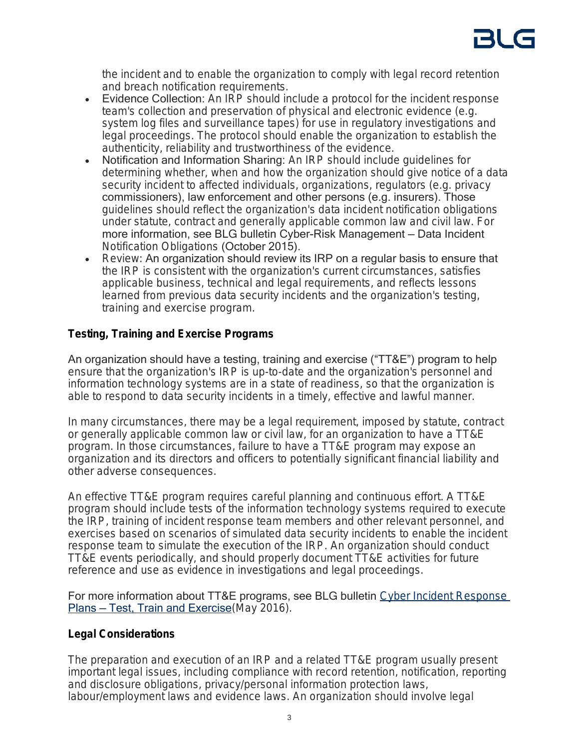the incident and to enable the organization to comply with legal record retention and breach notification requirements.

- Evidence Collection: An IRP should include a protocol for the incident response team's collection and preservation of physical and electronic evidence (e.g. system log files and surveillance tapes) for use in regulatory investigations and legal proceedings. The protocol should enable the organization to establish the authenticity, reliability and trustworthiness of the evidence.
- Notification and Information Sharing: An IRP should include guidelines for determining whether, when and how the organization should give notice of a data security incident to affected individuals, organizations, regulators (e.g. privacy commissioners), law enforcement and other persons (e.g. insurers). Those guidelines should reflect the organization's data incident notification obligations under statute, contract and generally applicable common law and civil law. For more information, see BLG bulletin Cyber-Risk Management — Data Incident *Notification Obligations* (October 2015).
- Review: An organization should review its IRP on a regular basis to ensure that the IRP is consistent with the organization's current circumstances, satisfies applicable business, technical and legal requirements, and reflects lessons learned from previous data security incidents and the organization's testing, training and exercise program.

# **Testing, Training and Exercise Programs**

An organization should have a testing, training and exercise ("TT&E") program to help ensure that the organization's IRP is up-to-date and the organization's personnel and information technology systems are in a state of readiness, so that the organization is able to respond to data security incidents in a timely, effective and lawful manner.

In many circumstances, there may be a legal requirement, imposed by statute, contract or generally applicable common law or civil law, for an organization to have a TT&E program. In those circumstances, failure to have a TT&E program may expose an organization and its directors and officers to potentially significant financial liability and other adverse consequences.

An effective TT&E program requires careful planning and continuous effort. A TT&E program should include tests of the information technology systems required to execute the IRP, training of incident response team members and other relevant personnel, and exercises based on scenarios of simulated data security incidents to enable the incident response team to simulate the execution of the IRP. An organization should conduct TT&E events periodically, and should properly document TT&E activities for future reference and use as evidence in investigations and legal proceedings.

For more information about TT&E programs, see BLG bulletin *[Cyber Incident Response](https://blg.com/en/News-And-Publications/Pages/Publication_4516.aspx)*  Plans - Test, Train and Exercise (May 2016).

# **Legal Considerations**

The preparation and execution of an IRP and a related TT&E program usually present important legal issues, including compliance with record retention, notification, reporting and disclosure obligations, privacy/personal information protection laws, labour/employment laws and evidence laws. An organization should involve legal